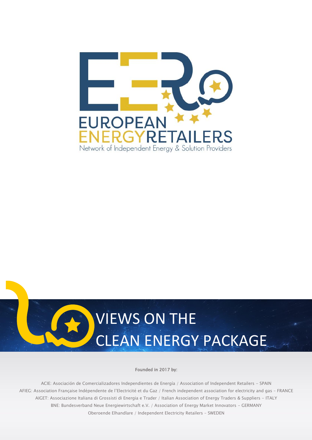



#### Founded in 2017 by:

ACIE: Asociación de Comercializadores Independientes de Energía / Association of Independent Retailers - SPAIN AFIEG: Association Française Indépendente de l'Electricité et du Gaz / French independent association for electricity and gas – FRANCE AIGET: Associazione Italiana di Grossisti di Energia e Trader / Italian Association of Energy Traders & Suppliers - ITALY BNE: Bundesverband Neue Energiewirtschaft e.V. / Association of Energy Market Innovators - GERMANY Oberoende Elhandlare / Independent Electricity Retailers – SWEDEN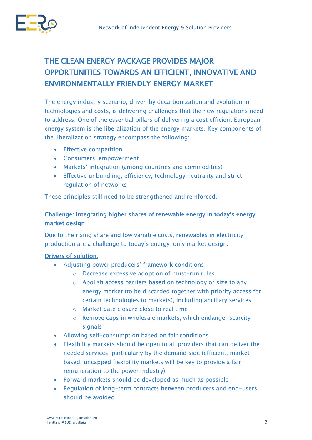

# THE CLEAN ENERGY PACKAGE PROVIDES MAJOR OPPORTUNITIES TOWARDS AN EFFICIENT, INNOVATIVE AND ENVIRONMENTALLY FRIENDLY ENERGY MARKET

The energy industry scenario, driven by decarbonization and evolution in technologies and costs, is delivering challenges that the new regulations need to address. One of the essential pillars of delivering a cost efficient European energy system is the liberalization of the energy markets. Key components of the liberalization strategy encompass the following:

- **•** Effective competition
- Consumers' empowerment
- Markets' integration (among countries and commodities)
- Effective unbundling, efficiency, technology neutrality and strict regulation of networks

These principles still need to be strengthened and reinforced.

## Challenge: integrating higher shares of renewable energy in today's energy market design

Due to the rising share and low variable costs, renewables in electricity production are a challenge to today's energy-only market design.

## Drivers of solution:

- Adjusting power producers' framework conditions:
	- o Decrease excessive adoption of must-run rules
	- o Abolish access barriers based on technology or size to any energy market (to be discarded together with priority access for certain technologies to markets), including ancillary services
	- o Market gate closure close to real time
	- o Remove caps in wholesale markets, which endanger scarcity signals
- Allowing self-consumption based on fair conditions
- Flexibility markets should be open to all providers that can deliver the needed services, particularly by the demand side (efficient, market based, uncapped flexibility markets will be key to provide a fair remuneration to the power industry)
- Forward markets should be developed as much as possible
- Regulation of long-term contracts between producers and end-users should be avoided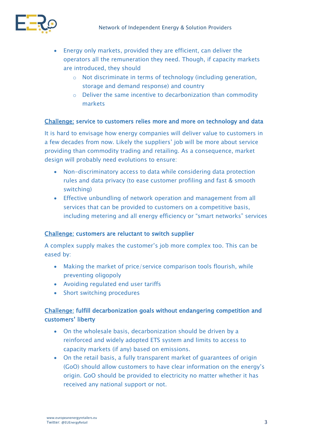

- Energy only markets, provided they are efficient, can deliver the operators all the remuneration they need. Though, if capacity markets are introduced, they should
	- o Not discriminate in terms of technology (including generation, storage and demand response) and country
	- o Deliver the same incentive to decarbonization than commodity markets

#### Challenge: service to customers relies more and more on technology and data

It is hard to envisage how energy companies will deliver value to customers in a few decades from now. Likely the suppliers' job will be more about service providing than commodity trading and retailing. As a consequence, market design will probably need evolutions to ensure:

- Non-discriminatory access to data while considering data protection rules and data privacy (to ease customer profiling and fast & smooth switching)
- Effective unbundling of network operation and management from all services that can be provided to customers on a competitive basis, including metering and all energy efficiency or "smart networks" services

### Challenge: customers are reluctant to switch supplier

A complex supply makes the customer's job more complex too. This can be eased by:

- Making the market of price/service comparison tools flourish, while preventing oligopoly
- Avoiding regulated end user tariffs
- Short switching procedures

## Challenge: fulfill decarbonization goals without endangering competition and customers' liberty

- On the wholesale basis, decarbonization should be driven by a reinforced and widely adopted ETS system and limits to access to capacity markets (if any) based on emissions.
- On the retail basis, a fully transparent market of guarantees of origin (GoO) should allow customers to have clear information on the energy's origin. GoO should be provided to electricity no matter whether it has received any national support or not.